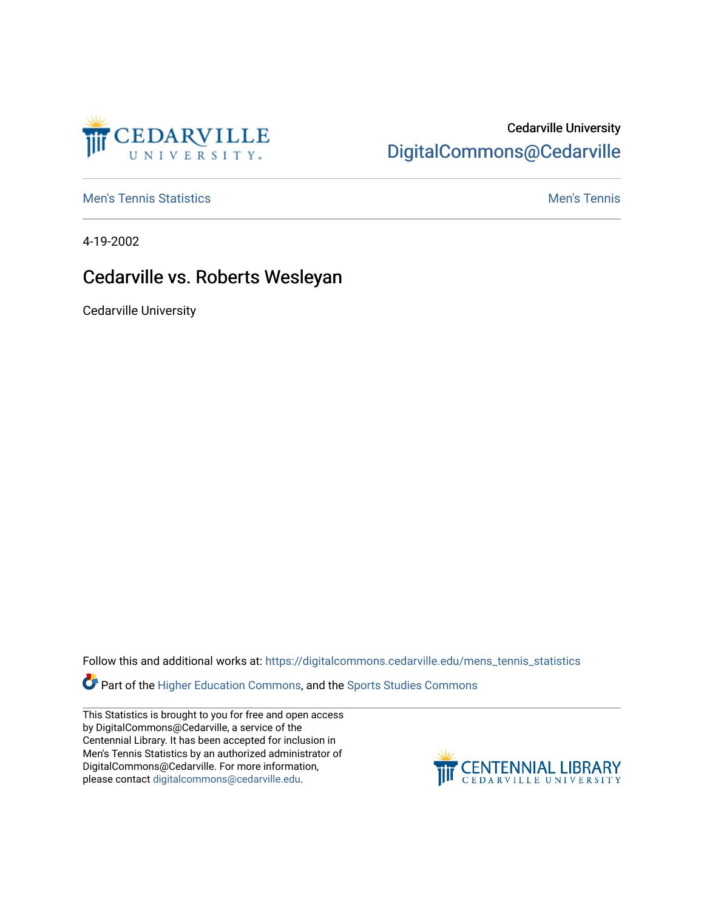

## Cedarville University [DigitalCommons@Cedarville](https://digitalcommons.cedarville.edu/)

**[Men's Tennis Statistics](https://digitalcommons.cedarville.edu/mens_tennis_statistics) Mental According to the Control of Control According Mental Men's Tennis** 

4-19-2002

## Cedarville vs. Roberts Wesleyan

Cedarville University

Follow this and additional works at: [https://digitalcommons.cedarville.edu/mens\\_tennis\\_statistics](https://digitalcommons.cedarville.edu/mens_tennis_statistics?utm_source=digitalcommons.cedarville.edu%2Fmens_tennis_statistics%2F513&utm_medium=PDF&utm_campaign=PDFCoverPages)

Part of the [Higher Education Commons,](http://network.bepress.com/hgg/discipline/1245?utm_source=digitalcommons.cedarville.edu%2Fmens_tennis_statistics%2F513&utm_medium=PDF&utm_campaign=PDFCoverPages) and the [Sports Studies Commons](http://network.bepress.com/hgg/discipline/1198?utm_source=digitalcommons.cedarville.edu%2Fmens_tennis_statistics%2F513&utm_medium=PDF&utm_campaign=PDFCoverPages) 

This Statistics is brought to you for free and open access by DigitalCommons@Cedarville, a service of the Centennial Library. It has been accepted for inclusion in Men's Tennis Statistics by an authorized administrator of DigitalCommons@Cedarville. For more information, please contact [digitalcommons@cedarville.edu](mailto:digitalcommons@cedarville.edu).